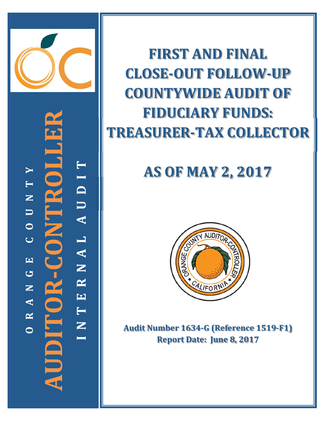

**‐CONTROLLER T**  $\blacktriangleright$ **I TD NTNOR-CONTR N U U A O L C A EN G R AUDITOR N E A T R N OI**

**FIRST AND FINAL CLOSE‐OUT FOLLOW‐UP COUNTYWIDE AUDIT OF FIDUCIARY FUNDS: TREASURER‐TAX COLLECTOR**

# **AS OF MAY 2, 2017**



**Audit Number 1634‐G (Reference 1519‐F1) Report Date: June 8, 2017**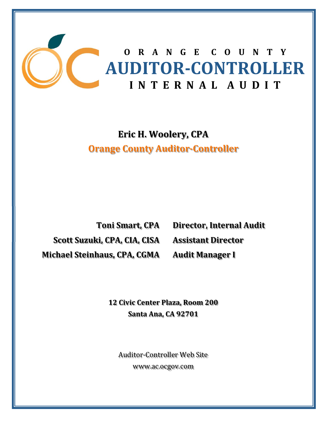

## **O R A N G E C O U N T Y AUDITOR‐CONTROLLER** I **N T ER N A** *L***<b>A U D I T**

### **Eric H. Woolery, CPA Orange County Auditor‐Controller**

**Scott Suzuki, CPA, CIA, CISA Assistant Director Michael Steinhaus, CPA, CGMA**

**Toni Smart, CPA Director, Internal Audit Audit Manager I**

**12 Civic Center Plaza, Room 200 Santa Ana, CA 92701**

Auditor-Controller Web Site www.ac.ocgov.com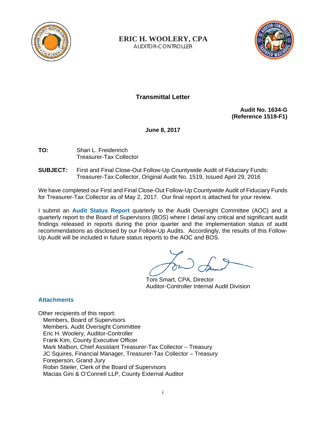

**ERIC H. WOOLERY, CPA**

AUDITOR-CONTROLLER



**Transmittal Letter** 

**Audit No. 1634-G (Reference 1519-F1)** 

**June 8, 2017** 

- **TO:** Shari L. Freidenrich Treasurer-Tax Collector
- **SUBJECT:** First and Final Close-Out Follow-Up Countywide Audit of Fiduciary Funds: Treasurer-Tax Collector, Original Audit No. 1519, Issued April 29, 2016

We have completed our First and Final Close-Out Follow-Up Countywide Audit of Fiduciary Funds for Treasurer-Tax Collector as of May 2, 2017. Our final report is attached for your review.

I submit an **Audit Status Report** quarterly to the Audit Oversight Committee (AOC) and a quarterly report to the Board of Supervisors (BOS) where I detail any critical and significant audit findings released in reports during the prior quarter and the implementation status of audit recommendations as disclosed by our Follow-Up Audits. Accordingly, the results of this Follow-Up Audit will be included in future status reports to the AOC and BOS.

Toni Smart, CPA, Director Auditor-Controller Internal Audit Division

#### **Attachments**

Other recipients of this report: Members, Board of Supervisors Members, Audit Oversight Committee Eric H. Woolery, Auditor-Controller Frank Kim, County Executive Officer Mark Malbon, Chief Assistant Treasurer-Tax Collector – Treasury JC Squires, Financial Manager, Treasurer-Tax Collector – Treasury Foreperson, Grand Jury Robin Stieler, Clerk of the Board of Supervisors Macias Gini & O'Connell LLP, County External Auditor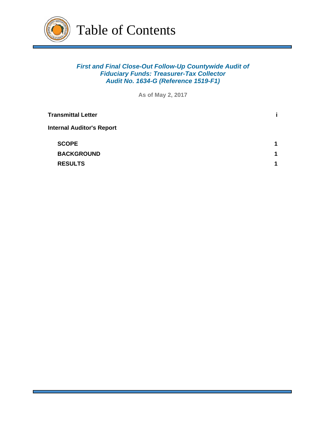

#### *First and Final Close-Out Follow-Up Countywide Audit of Fiduciary Funds: Treasurer-Tax Collector Audit No. 1634-G (Reference 1519-F1)*

**As of May 2, 2017**

| <b>Transmittal Letter</b>        |   |
|----------------------------------|---|
| <b>Internal Auditor's Report</b> |   |
| <b>SCOPE</b>                     | 1 |
| <b>BACKGROUND</b>                | 1 |
| <b>RESULTS</b>                   | 1 |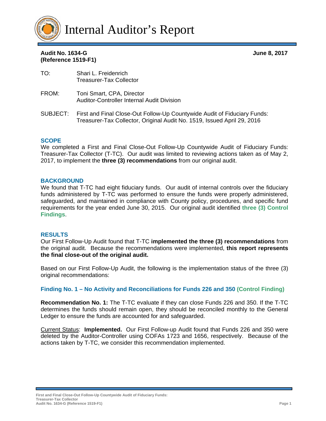

**Audit No. 1634-G June 8, 2017 (Reference 1519-F1)** 

| TO:   | Shari L. Freidenrich<br>Treasurer-Tax Collector                         |
|-------|-------------------------------------------------------------------------|
| FROM: | Toni Smart, CPA, Director<br>Auditor-Controller Internal Audit Division |

SUBJECT: First and Final Close-Out Follow-Up Countywide Audit of Fiduciary Funds: Treasurer-Tax Collector, Original Audit No. 1519, Issued April 29, 2016

#### **SCOPE**

We completed a First and Final Close-Out Follow-Up Countywide Audit of Fiduciary Funds: Treasurer-Tax Collector (T-TC). Our audit was limited to reviewing actions taken as of May 2, 2017, to implement the **three (3) recommendations** from our original audit.

#### **BACKGROUND**

We found that T-TC had eight fiduciary funds. Our audit of internal controls over the fiduciary funds administered by T-TC was performed to ensure the funds were properly administered, safeguarded, and maintained in compliance with County policy, procedures, and specific fund requirements for the year ended June 30, 2015. Our original audit identified **three (3) Control Findings**.

#### **RESULTS**

Our First Follow-Up Audit found that T-TC **implemented the three (3) recommendations** from the original audit. Because the recommendations were implemented, **this report represents the final close-out of the original audit.**

Based on our First Follow-Up Audit, the following is the implementation status of the three (3) original recommendations:

#### **Finding No. 1 – No Activity and Reconciliations for Funds 226 and 350 (Control Finding)**

**Recommendation No. 1:** The T-TC evaluate if they can close Funds 226 and 350. If the T-TC determines the funds should remain open, they should be reconciled monthly to the General Ledger to ensure the funds are accounted for and safeguarded.

Current Status: **Implemented.** Our First Follow-up Audit found that Funds 226 and 350 were deleted by the Auditor-Controller using COFAs 1723 and 1656, respectively. Because of the actions taken by T-TC, we consider this recommendation implemented.